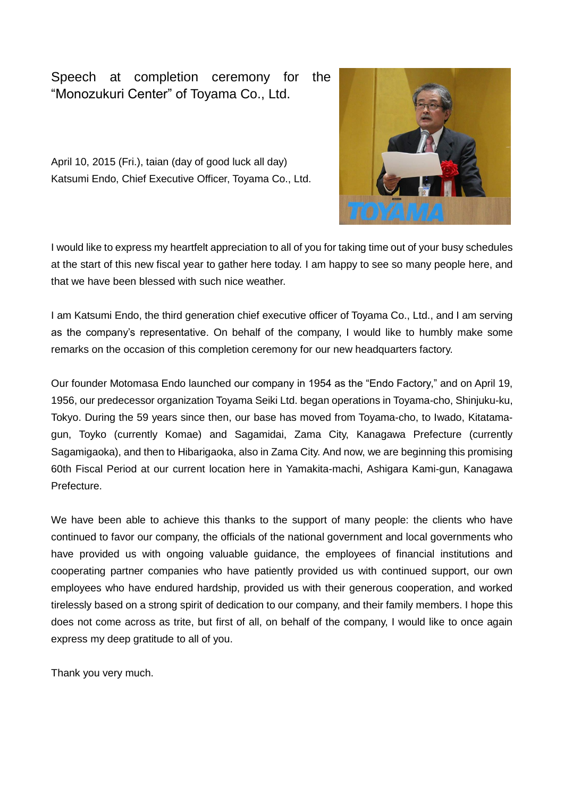## Speech at completion ceremony for the "Monozukuri Center" of Toyama Co., Ltd.

April 10, 2015 (Fri.), taian (day of good luck all day) Katsumi Endo, Chief Executive Officer, Toyama Co., Ltd.



I would like to express my heartfelt appreciation to all of you for taking time out of your busy schedules at the start of this new fiscal year to gather here today. I am happy to see so many people here, and that we have been blessed with such nice weather.

I am Katsumi Endo, the third generation chief executive officer of Toyama Co., Ltd., and I am serving as the company's representative. On behalf of the company, I would like to humbly make some remarks on the occasion of this completion ceremony for our new headquarters factory.

Our founder Motomasa Endo launched our company in 1954 as the "Endo Factory," and on April 19, 1956, our predecessor organization Toyama Seiki Ltd. began operations in Toyama-cho, Shinjuku-ku, Tokyo. During the 59 years since then, our base has moved from Toyama-cho, to Iwado, Kitatamagun, Toyko (currently Komae) and Sagamidai, Zama City, Kanagawa Prefecture (currently Sagamigaoka), and then to Hibarigaoka, also in Zama City. And now, we are beginning this promising 60th Fiscal Period at our current location here in Yamakita-machi, Ashigara Kami-gun, Kanagawa Prefecture.

We have been able to achieve this thanks to the support of many people: the clients who have continued to favor our company, the officials of the national government and local governments who have provided us with ongoing valuable guidance, the employees of financial institutions and cooperating partner companies who have patiently provided us with continued support, our own employees who have endured hardship, provided us with their generous cooperation, and worked tirelessly based on a strong spirit of dedication to our company, and their family members. I hope this does not come across as trite, but first of all, on behalf of the company, I would like to once again express my deep gratitude to all of you.

Thank you very much.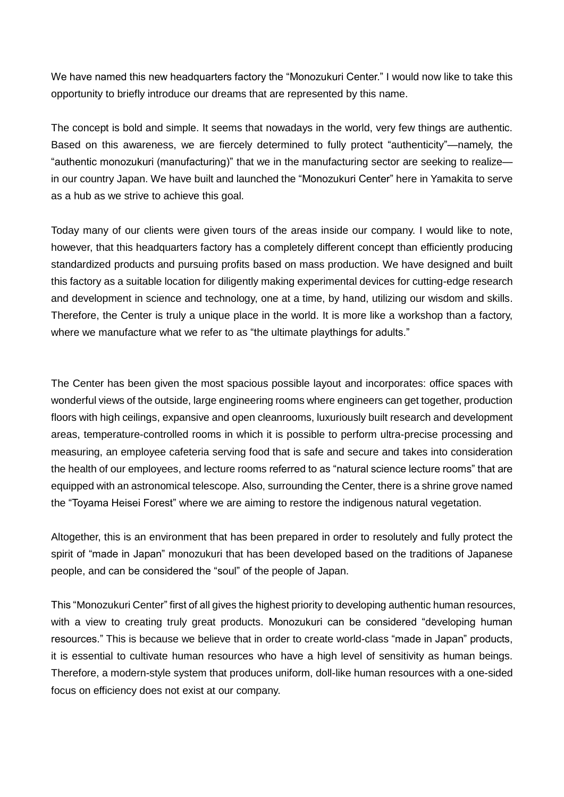We have named this new headquarters factory the "Monozukuri Center." I would now like to take this opportunity to briefly introduce our dreams that are represented by this name.

The concept is bold and simple. It seems that nowadays in the world, very few things are authentic. Based on this awareness, we are fiercely determined to fully protect "authenticity"—namely, the "authentic monozukuri (manufacturing)" that we in the manufacturing sector are seeking to realize in our country Japan. We have built and launched the "Monozukuri Center" here in Yamakita to serve as a hub as we strive to achieve this goal.

Today many of our clients were given tours of the areas inside our company. I would like to note, however, that this headquarters factory has a completely different concept than efficiently producing standardized products and pursuing profits based on mass production. We have designed and built this factory as a suitable location for diligently making experimental devices for cutting-edge research and development in science and technology, one at a time, by hand, utilizing our wisdom and skills. Therefore, the Center is truly a unique place in the world. It is more like a workshop than a factory, where we manufacture what we refer to as "the ultimate playthings for adults."

The Center has been given the most spacious possible layout and incorporates: office spaces with wonderful views of the outside, large engineering rooms where engineers can get together, production floors with high ceilings, expansive and open cleanrooms, luxuriously built research and development areas, temperature-controlled rooms in which it is possible to perform ultra-precise processing and measuring, an employee cafeteria serving food that is safe and secure and takes into consideration the health of our employees, and lecture rooms referred to as "natural science lecture rooms" that are equipped with an astronomical telescope. Also, surrounding the Center, there is a shrine grove named the "Toyama Heisei Forest" where we are aiming to restore the indigenous natural vegetation.

Altogether, this is an environment that has been prepared in order to resolutely and fully protect the spirit of "made in Japan" monozukuri that has been developed based on the traditions of Japanese people, and can be considered the "soul" of the people of Japan.

This "Monozukuri Center" first of all gives the highest priority to developing authentic human resources, with a view to creating truly great products. Monozukuri can be considered "developing human resources." This is because we believe that in order to create world-class "made in Japan" products, it is essential to cultivate human resources who have a high level of sensitivity as human beings. Therefore, a modern-style system that produces uniform, doll-like human resources with a one-sided focus on efficiency does not exist at our company.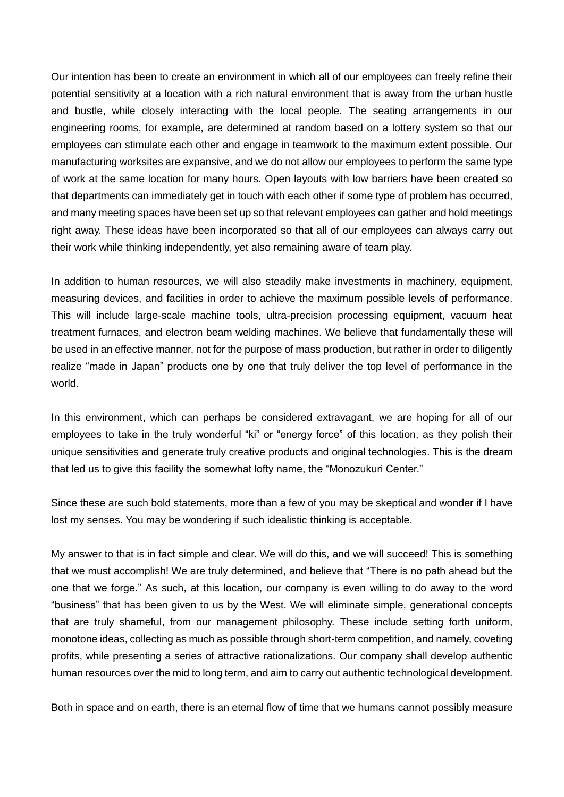Our intention has been to create an environment in which all of our employees can freely refine their potential sensitivity at a location with a rich natural environment that is away from the urban hustle and bustle, while closely interacting with the local people. The seating arrangements in our engineering rooms, for example, are determined at random based on a lottery system so that our employees can stimulate each other and engage in teamwork to the maximum extent possible. Our manufacturing worksites are expansive, and we do not allow our employees to perform the same type of work at the same location for many hours. Open layouts with low barriers have been created so that departments can immediately get in touch with each other if some type of problem has occurred, and many meeting spaces have been set up so that relevant employees can gather and hold meetings right away. These ideas have been incorporated so that all of our employees can always carry out their work while thinking independently, yet also remaining aware of team play.

In addition to human resources, we will also steadily make investments in machinery, equipment, measuring devices, and facilities in order to achieve the maximum possible levels of performance. This will include large-scale machine tools, ultra-precision processing equipment, vacuum heat treatment furnaces, and electron beam welding machines. We believe that fundamentally these will be used in an effective manner, not for the purpose of mass production, but rather in order to diligently realize "made in Japan" products one by one that truly deliver the top level of performance in the world.

In this environment, which can perhaps be considered extravagant, we are hoping for all of our employees to take in the truly wonderful "ki" or "energy force" of this location, as they polish their unique sensitivities and generate truly creative products and original technologies. This is the dream that led us to give this facility the somewhat lofty name, the "Monozukuri Center."

Since these are such bold statements, more than a few of you may be skeptical and wonder if I have lost my senses. You may be wondering if such idealistic thinking is acceptable.

My answer to that is in fact simple and clear. We will do this, and we will succeed! This is something that we must accomplish! We are truly determined, and believe that "There is no path ahead but the one that we forge." As such, at this location, our company is even willing to do away to the word "business" that has been given to us by the West. We will eliminate simple, generational concepts that are truly shameful, from our management philosophy. These include setting forth uniform, monotone ideas, collecting as much as possible through short-term competition, and namely, coveting profits, while presenting a series of attractive rationalizations. Our company shall develop authentic human resources over the mid to long term, and aim to carry out authentic technological development.

Both in space and on earth, there is an eternal flow of time that we humans cannot possibly measure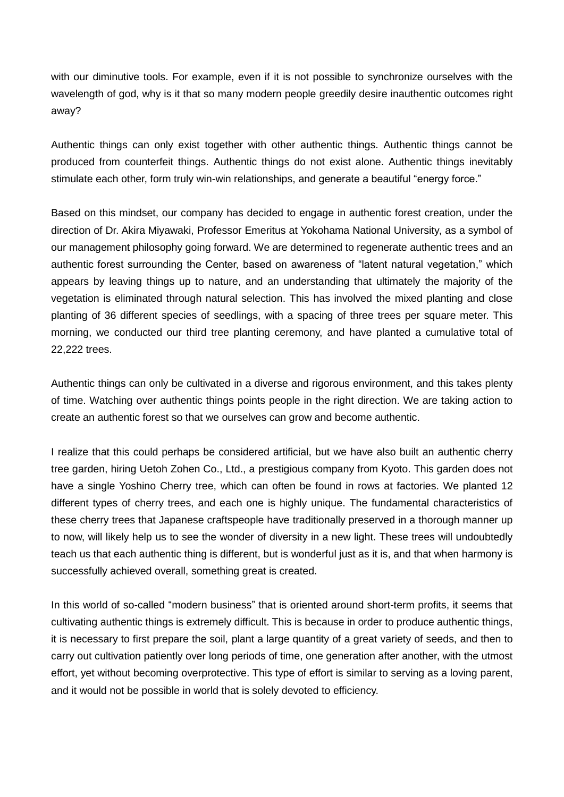with our diminutive tools. For example, even if it is not possible to synchronize ourselves with the wavelength of god, why is it that so many modern people greedily desire inauthentic outcomes right away?

Authentic things can only exist together with other authentic things. Authentic things cannot be produced from counterfeit things. Authentic things do not exist alone. Authentic things inevitably stimulate each other, form truly win-win relationships, and generate a beautiful "energy force."

Based on this mindset, our company has decided to engage in authentic forest creation, under the direction of Dr. Akira Miyawaki, Professor Emeritus at Yokohama National University, as a symbol of our management philosophy going forward. We are determined to regenerate authentic trees and an authentic forest surrounding the Center, based on awareness of "latent natural vegetation," which appears by leaving things up to nature, and an understanding that ultimately the majority of the vegetation is eliminated through natural selection. This has involved the mixed planting and close planting of 36 different species of seedlings, with a spacing of three trees per square meter. This morning, we conducted our third tree planting ceremony, and have planted a cumulative total of 22,222 trees.

Authentic things can only be cultivated in a diverse and rigorous environment, and this takes plenty of time. Watching over authentic things points people in the right direction. We are taking action to create an authentic forest so that we ourselves can grow and become authentic.

I realize that this could perhaps be considered artificial, but we have also built an authentic cherry tree garden, hiring Uetoh Zohen Co., Ltd., a prestigious company from Kyoto. This garden does not have a single Yoshino Cherry tree, which can often be found in rows at factories. We planted 12 different types of cherry trees, and each one is highly unique. The fundamental characteristics of these cherry trees that Japanese craftspeople have traditionally preserved in a thorough manner up to now, will likely help us to see the wonder of diversity in a new light. These trees will undoubtedly teach us that each authentic thing is different, but is wonderful just as it is, and that when harmony is successfully achieved overall, something great is created.

In this world of so-called "modern business" that is oriented around short-term profits, it seems that cultivating authentic things is extremely difficult. This is because in order to produce authentic things, it is necessary to first prepare the soil, plant a large quantity of a great variety of seeds, and then to carry out cultivation patiently over long periods of time, one generation after another, with the utmost effort, yet without becoming overprotective. This type of effort is similar to serving as a loving parent, and it would not be possible in world that is solely devoted to efficiency.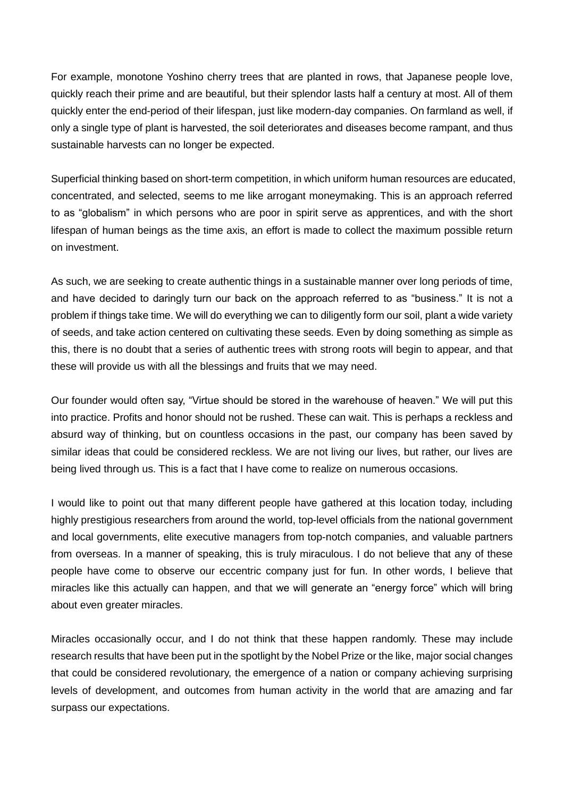For example, monotone Yoshino cherry trees that are planted in rows, that Japanese people love, quickly reach their prime and are beautiful, but their splendor lasts half a century at most. All of them quickly enter the end-period of their lifespan, just like modern-day companies. On farmland as well, if only a single type of plant is harvested, the soil deteriorates and diseases become rampant, and thus sustainable harvests can no longer be expected.

Superficial thinking based on short-term competition, in which uniform human resources are educated, concentrated, and selected, seems to me like arrogant moneymaking. This is an approach referred to as "globalism" in which persons who are poor in spirit serve as apprentices, and with the short lifespan of human beings as the time axis, an effort is made to collect the maximum possible return on investment.

As such, we are seeking to create authentic things in a sustainable manner over long periods of time, and have decided to daringly turn our back on the approach referred to as "business." It is not a problem if things take time. We will do everything we can to diligently form our soil, plant a wide variety of seeds, and take action centered on cultivating these seeds. Even by doing something as simple as this, there is no doubt that a series of authentic trees with strong roots will begin to appear, and that these will provide us with all the blessings and fruits that we may need.

Our founder would often say, "Virtue should be stored in the warehouse of heaven." We will put this into practice. Profits and honor should not be rushed. These can wait. This is perhaps a reckless and absurd way of thinking, but on countless occasions in the past, our company has been saved by similar ideas that could be considered reckless. We are not living our lives, but rather, our lives are being lived through us. This is a fact that I have come to realize on numerous occasions.

I would like to point out that many different people have gathered at this location today, including highly prestigious researchers from around the world, top-level officials from the national government and local governments, elite executive managers from top-notch companies, and valuable partners from overseas. In a manner of speaking, this is truly miraculous. I do not believe that any of these people have come to observe our eccentric company just for fun. In other words, I believe that miracles like this actually can happen, and that we will generate an "energy force" which will bring about even greater miracles.

Miracles occasionally occur, and I do not think that these happen randomly. These may include research results that have been put in the spotlight by the Nobel Prize or the like, major social changes that could be considered revolutionary, the emergence of a nation or company achieving surprising levels of development, and outcomes from human activity in the world that are amazing and far surpass our expectations.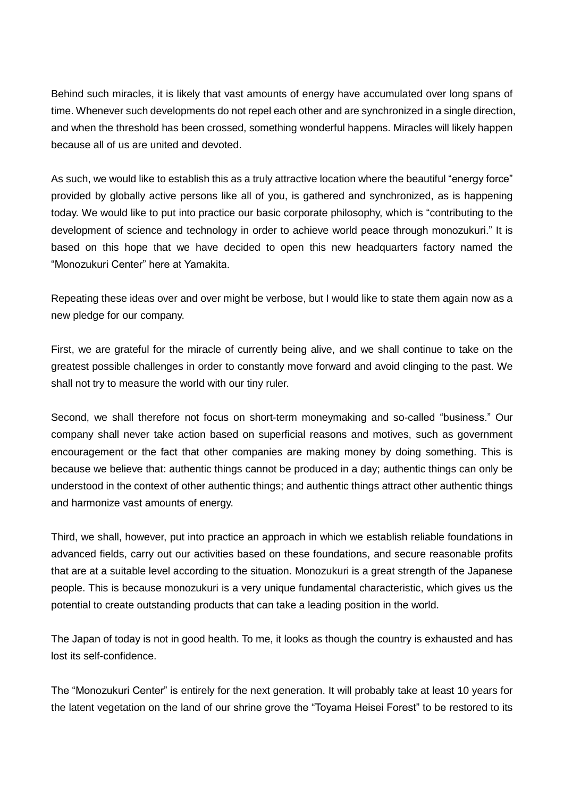Behind such miracles, it is likely that vast amounts of energy have accumulated over long spans of time. Whenever such developments do not repel each other and are synchronized in a single direction, and when the threshold has been crossed, something wonderful happens. Miracles will likely happen because all of us are united and devoted.

As such, we would like to establish this as a truly attractive location where the beautiful "energy force" provided by globally active persons like all of you, is gathered and synchronized, as is happening today. We would like to put into practice our basic corporate philosophy, which is "contributing to the development of science and technology in order to achieve world peace through monozukuri." It is based on this hope that we have decided to open this new headquarters factory named the "Monozukuri Center" here at Yamakita.

Repeating these ideas over and over might be verbose, but I would like to state them again now as a new pledge for our company.

First, we are grateful for the miracle of currently being alive, and we shall continue to take on the greatest possible challenges in order to constantly move forward and avoid clinging to the past. We shall not try to measure the world with our tiny ruler.

Second, we shall therefore not focus on short-term moneymaking and so-called "business." Our company shall never take action based on superficial reasons and motives, such as government encouragement or the fact that other companies are making money by doing something. This is because we believe that: authentic things cannot be produced in a day; authentic things can only be understood in the context of other authentic things; and authentic things attract other authentic things and harmonize vast amounts of energy.

Third, we shall, however, put into practice an approach in which we establish reliable foundations in advanced fields, carry out our activities based on these foundations, and secure reasonable profits that are at a suitable level according to the situation. Monozukuri is a great strength of the Japanese people. This is because monozukuri is a very unique fundamental characteristic, which gives us the potential to create outstanding products that can take a leading position in the world.

The Japan of today is not in good health. To me, it looks as though the country is exhausted and has lost its self-confidence.

The "Monozukuri Center" is entirely for the next generation. It will probably take at least 10 years for the latent vegetation on the land of our shrine grove the "Toyama Heisei Forest" to be restored to its